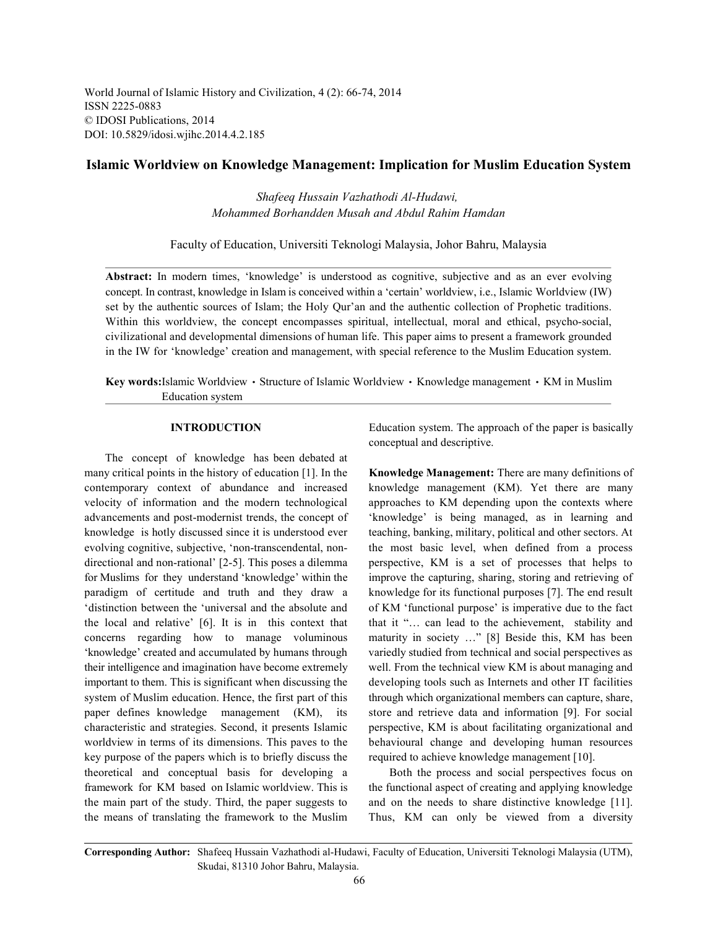World Journal of Islamic History and Civilization, 4 (2): 66-74, 2014 ISSN 2225-0883 © IDOSI Publications, 2014 DOI: 10.5829/idosi.wjihc.2014.4.2.185

## **Islamic Worldview on Knowledge Management: Implication for Muslim Education System**

*Shafeeq Hussain Vazhathodi Al-Hudawi, Mohammed Borhandden Musah and Abdul Rahim Hamdan*

Faculty of Education, Universiti Teknologi Malaysia, Johor Bahru, Malaysia

Abstract: In modern times, 'knowledge' is understood as cognitive, subjective and as an ever evolving concept. In contrast, knowledge in Islam is conceived within a 'certain' worldview, i.e., Islamic Worldview (IW) set by the authentic sources of Islam; the Holy Qur'an and the authentic collection of Prophetic traditions. Within this worldview, the concept encompasses spiritual, intellectual, moral and ethical, psycho-social, civilizational and developmental dimensions of human life. This paper aims to present a framework grounded in the IW for 'knowledge' creation and management, with special reference to the Muslim Education system.

Key words:Islamic Worldview • Structure of Islamic Worldview • Knowledge management • KM in Muslim Education system

The concept of knowledge has been debated at many critical points in the history of education [1]. In the **Knowledge Management:** There are many definitions of contemporary context of abundance and increased knowledge management (KM). Yet there are many velocity of information and the modern technological approaches to KM depending upon the contexts where advancements and post-modernist trends, the concept of 'knowledge' is being managed, as in learning and knowledge is hotly discussed since it is understood ever teaching, banking, military, political and other sectors. At evolving cognitive, subjective, 'non-transcendental, non- the most basic level, when defined from a process directional and non-rational' [2-5]. This poses a dilemma perspective, KM is a set of processes that helps to for Muslims for they understand 'knowledge' within the improve the capturing, sharing, storing and retrieving of paradigm of certitude and truth and they draw a knowledge for its functional purposes [7]. The end result 'distinction between the 'universal and the absolute and of KM 'functional purpose' is imperative due to the fact the local and relative' [6]. It is in this context that that it "... can lead to the achievement, stability and concerns regarding how to manage voluminous maturity in society …" [8] Beside this, KM has been 'knowledge' created and accumulated by humans through variedly studied from technical and social perspectives as their intelligence and imagination have become extremely well. From the technical view KM is about managing and important to them. This is significant when discussing the developing tools such as Internets and other IT facilities system of Muslim education. Hence, the first part of this through which organizational members can capture, share, paper defines knowledge management (KM), its store and retrieve data and information [9]. For social characteristic and strategies. Second, it presents Islamic perspective, KM is about facilitating organizational and worldview in terms of its dimensions. This paves to the behavioural change and developing human resources key purpose of the papers which is to briefly discuss the required to achieve knowledge management [10]. theoretical and conceptual basis for developing a Both the process and social perspectives focus on framework for KM based on Islamic worldview. This is the functional aspect of creating and applying knowledge the main part of the study. Third, the paper suggests to and on the needs to share distinctive knowledge [11]. the means of translating the framework to the Muslim Thus, KM can only be viewed from a diversity

**INTRODUCTION** Education system. The approach of the paper is basically conceptual and descriptive.

**Corresponding Author:** Shafeeq Hussain Vazhathodi al-Hudawi, Faculty of Education, Universiti Teknologi Malaysia (UTM), Skudai, 81310 Johor Bahru, Malaysia.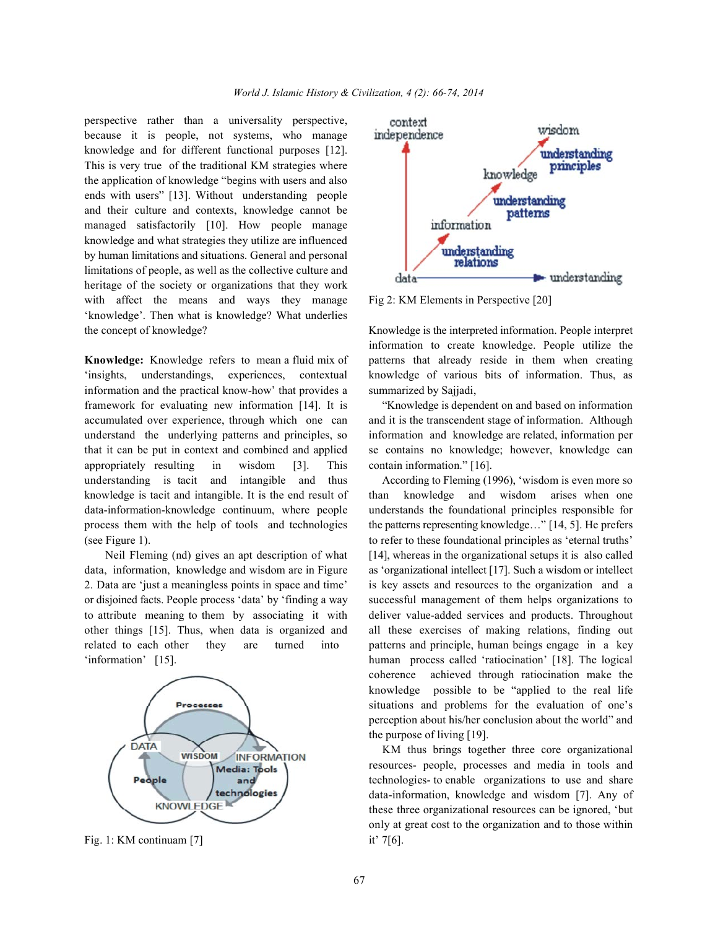perspective rather than a universality perspective, because it is people, not systems, who manage knowledge and for different functional purposes [12]. This is very true of the traditional KM strategies where the application of knowledge "begins with users and also ends with users" [13]. Without understanding people and their culture and contexts, knowledge cannot be managed satisfactorily [10]. How people manage knowledge and what strategies they utilize are influenced by human limitations and situations. General and personal limitations of people, as well as the collective culture and heritage of the society or organizations that they work with affect the means and ways they manage Fig 2: KM Elements in Perspective [20] 'knowledge'. Then what is knowledge? What underlies the concept of knowledge? Knowledge is the interpreted information. People interpret

'insights, understandings, experiences, contextual knowledge of various bits of information. Thus, as information and the practical know-how' that provides a summarized by Sajjadi, framework for evaluating new information [14]. It is "Knowledge is dependent on and based on information accumulated over experience, through which one can and it is the transcendent stage of information. Although understand the underlying patterns and principles, so information and knowledge are related, information per that it can be put in context and combined and applied se contains no knowledge; however, knowledge can appropriately resulting in wisdom [3]. This contain information." [16]. understanding is tacit and intangible and thus According to Fleming (1996), 'wisdom is even more so knowledge is tacit and intangible. It is the end result of than knowledge and wisdom arises when one data-information-knowledge continuum, where people understands the foundational principles responsible for process them with the help of tools and technologies the patterns representing knowledge…" [14, 5]. He prefers (see Figure 1). to refer to these foundational principles as 'eternal truths'

data, information, knowledge and wisdom are in Figure as 'organizational intellect [17]. Such a wisdom or intellect 2. Data are 'just a meaningless points in space and time' is key assets and resources to the organization and a or disjoined facts. People process 'data' by 'finding a way successful management of them helps organizations to to attribute meaning to them by associating it with deliver value-added services and products. Throughout other things [15]. Thus, when data is organized and all these exercises of making relations, finding out related to each other they are turned into patterns and principle, human beings engage in a key 'information' [15]. human process called 'ratiocination' [18]. The logical



Fig. 1: KM continuam [7] it' 7[6].



**Knowledge:** Knowledge refers to mean a fluid mix of patterns that already reside in them when creating information to create knowledge. People utilize the

Neil Fleming (nd) gives an apt description of what [14], whereas in the organizational setups it is also called coherence achieved through ratiocination make the knowledge possible to be "applied to the real life situations and problems for the evaluation of one's perception about his/her conclusion about the world" and the purpose of living [19].

> KM thus brings together three core organizational resources- people, processes and media in tools and technologies- to enable organizations to use and share data-information, knowledge and wisdom [7]. Any of these three organizational resources can be ignored, 'but only at great cost to the organization and to those within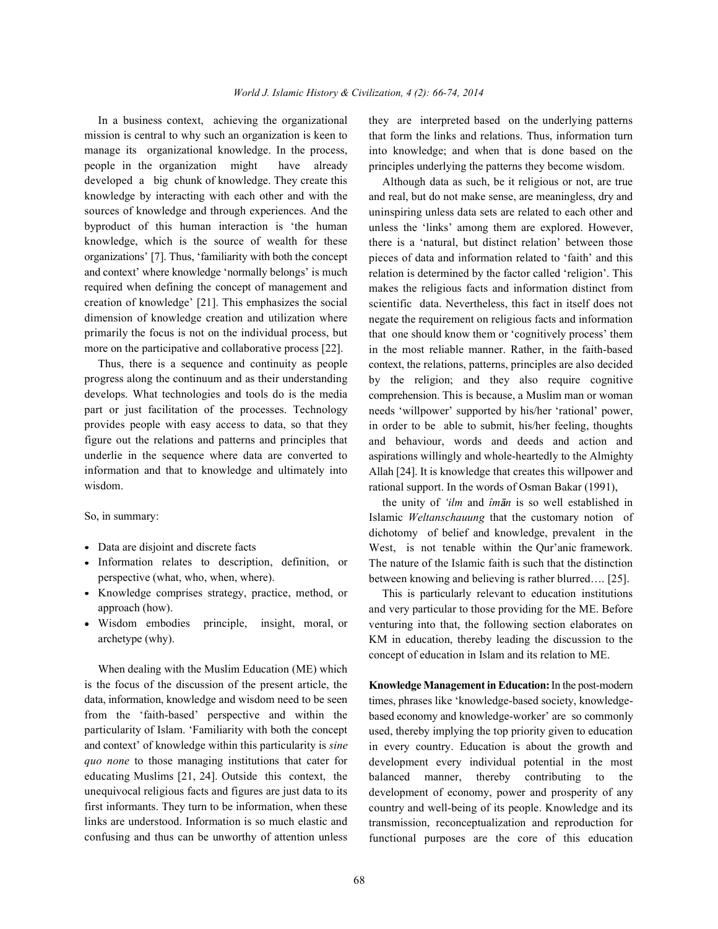mission is central to why such an organization is keen to manage its organizational knowledge. In the process, people in the organization might have already developed a big chunk of knowledge. They create this knowledge by interacting with each other and with the sources of knowledge and through experiences. And the byproduct of this human interaction is 'the human knowledge, which is the source of wealth for these organizations' [7]. Thus, 'familiarity with both the concept and context' where knowledge 'normally belongs' is much required when defining the concept of management and creation of knowledge' [21]. This emphasizes the social dimension of knowledge creation and utilization where primarily the focus is not on the individual process, but more on the participative and collaborative process [22].

Thus, there is a sequence and continuity as people progress along the continuum and as their understanding develops. What technologies and tools do is the media part or just facilitation of the processes. Technology provides people with easy access to data, so that they figure out the relations and patterns and principles that underlie in the sequence where data are converted to information and that to knowledge and ultimately into wisdom.

So, in summary:

- Data are disjoint and discrete facts
- Information relates to description, definition, or perspective (what, who, when, where).
- Knowledge comprises strategy, practice, method, or approach (how).
- Wisdom embodies principle, insight, moral, or archetype (why).

When dealing with the Muslim Education (ME) which is the focus of the discussion of the present article, the data, information, knowledge and wisdom need to be seen from the 'faith-based' perspective and within the particularity of Islam. 'Familiarity with both the concept and context' of knowledge within this particularity is *sine quo none* to those managing institutions that cater for educating Muslims [21, 24]. Outside this context, the unequivocal religious facts and figures are just data to its first informants. They turn to be information, when these links are understood. Information is so much elastic and confusing and thus can be unworthy of attention unless

In a business context, achieving the organizational they are interpreted based on the underlying patterns that form the links and relations. Thus, information turn into knowledge; and when that is done based on the principles underlying the patterns they become wisdom.

> Although data as such, be it religious or not, are true and real, but do not make sense, are meaningless, dry and uninspiring unless data sets are related to each other and unless the 'links' among them are explored. However, there is a 'natural, but distinct relation' between those pieces of data and information related to 'faith' and this relation is determined by the factor called 'religion'. This makes the religious facts and information distinct from scientific data. Nevertheless, this fact in itself does not negate the requirement on religious facts and information that one should know them or 'cognitively process' them in the most reliable manner. Rather, in the faith-based context, the relations, patterns, principles are also decided by the religion; and they also require cognitive comprehension. This is because, a Muslim man or woman needs 'willpower' supported by his/her 'rational' power, in order to be able to submit, his/her feeling, thoughts and behaviour, words and deeds and action and aspirations willingly and whole-heartedly to the Almighty Allah [24]. It is knowledge that creates this willpower and rational support. In the words of Osman Bakar (1991),

> the unity of 'ilm and îman is so well established in Islamic *Weltanschauung* that the customary notion of dichotomy of belief and knowledge, prevalent in the West, is not tenable within the Qur'anic framework. The nature of the Islamic faith is such that the distinction between knowing and believing is rather blurred…. [25].

> This is particularly relevant to education institutions and very particular to those providing for the ME. Before venturing into that, the following section elaborates on KM in education, thereby leading the discussion to the concept of education in Islam and its relation to ME.

> **Knowledge Management in Education:** In the post-modern times, phrases like 'knowledge-based society, knowledgebased economy and knowledge-worker' are so commonly used, thereby implying the top priority given to education in every country. Education is about the growth and development every individual potential in the most balanced manner, thereby contributing to the development of economy, power and prosperity of any country and well-being of its people. Knowledge and its transmission, reconceptualization and reproduction for functional purposes are the core of this education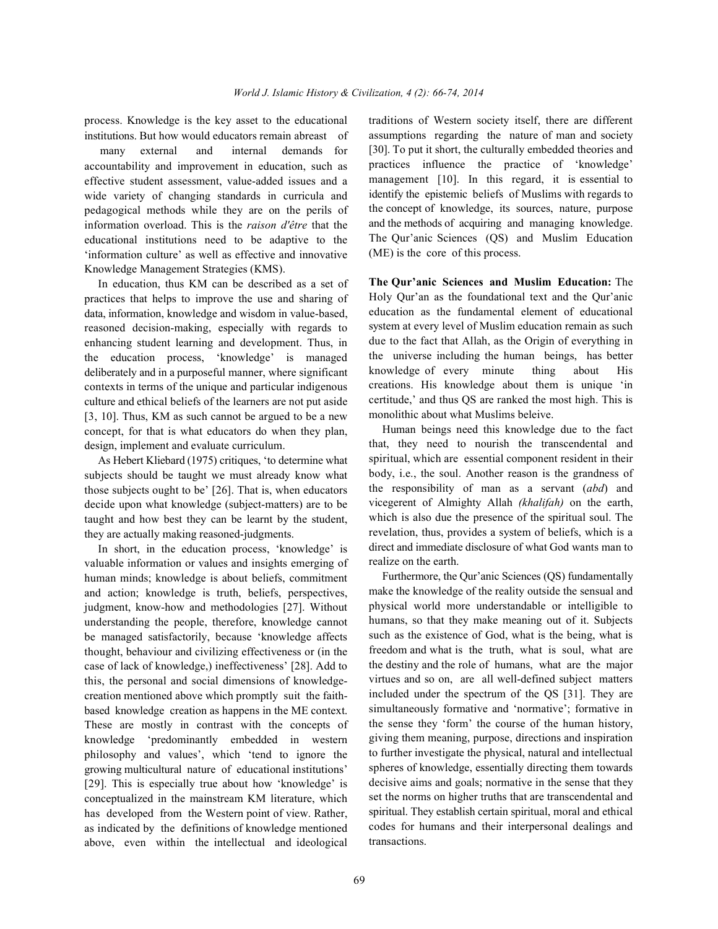process. Knowledge is the key asset to the educational traditions of Western society itself, there are different institutions. But how would educators remain abreast of

 many external and internal demands for accountability and improvement in education, such as effective student assessment, value-added issues and a wide variety of changing standards in curricula and pedagogical methods while they are on the perils of information overload. This is the *raison d'être* that the educational institutions need to be adaptive to the 'information culture' as well as effective and innovative Knowledge Management Strategies (KMS).

In education, thus KM can be described as a set of practices that helps to improve the use and sharing of data, information, knowledge and wisdom in value-based, reasoned decision-making, especially with regards to enhancing student learning and development. Thus, in the education process, 'knowledge' is managed deliberately and in a purposeful manner, where significant contexts in terms of the unique and particular indigenous culture and ethical beliefs of the learners are not put aside [3, 10]. Thus, KM as such cannot be argued to be a new concept, for that is what educators do when they plan, design, implement and evaluate curriculum.

As Hebert Kliebard (1975) critiques, 'to determine what subjects should be taught we must already know what those subjects ought to be' [26]. That is, when educators decide upon what knowledge (subject-matters) are to be taught and how best they can be learnt by the student, they are actually making reasoned-judgments.

In short, in the education process, 'knowledge' is valuable information or values and insights emerging of human minds; knowledge is about beliefs, commitment and action; knowledge is truth, beliefs, perspectives, judgment, know-how and methodologies [27]. Without understanding the people, therefore, knowledge cannot be managed satisfactorily, because 'knowledge affects thought, behaviour and civilizing effectiveness or (in the case of lack of knowledge,) ineffectiveness' [28]. Add to this, the personal and social dimensions of knowledgecreation mentioned above which promptly suit the faithbased knowledge creation as happens in the ME context. These are mostly in contrast with the concepts of knowledge 'predominantly embedded in western philosophy and values', which 'tend to ignore the growing multicultural nature of educational institutions' [29]. This is especially true about how 'knowledge' is conceptualized in the mainstream KM literature, which has developed from the Western point of view. Rather, as indicated by the definitions of knowledge mentioned above, even within the intellectual and ideological assumptions regarding the nature of man and society [30]. To put it short, the culturally embedded theories and practices influence the practice of 'knowledge' management [10]. In this regard, it is essential to identify the epistemic beliefs of Muslims with regards to the concept of knowledge, its sources, nature, purpose and the methods of acquiring and managing knowledge. The Qur'anic Sciences (QS) and Muslim Education (ME) is the core of this process.

**The Qur'anic Sciences and Muslim Education:** The Holy Qur'an as the foundational text and the Qur'anic education as the fundamental element of educational system at every level of Muslim education remain as such due to the fact that Allah, as the Origin of everything in the universe including the human beings, has better knowledge of every minute thing about His creations. His knowledge about them is unique 'in certitude,' and thus QS are ranked the most high. This is monolithic about what Muslims beleive.

Human beings need this knowledge due to the fact that, they need to nourish the transcendental and spiritual, which are essential component resident in their body, i.e., the soul. Another reason is the grandness of the responsibility of man as a servant (*abd*) and vicegerent of Almighty Allah *(khalifah)* on the earth, which is also due the presence of the spiritual soul. The revelation, thus, provides a system of beliefs, which is a direct and immediate disclosure of what God wants man to realize on the earth.

Furthermore, the Qur'anic Sciences (QS) fundamentally make the knowledge of the reality outside the sensual and physical world more understandable or intelligible to humans, so that they make meaning out of it. Subjects such as the existence of God, what is the being, what is freedom and what is the truth, what is soul, what are the destiny and the role of humans, what are the major virtues and so on, are all well-defined subject matters included under the spectrum of the QS [31]. They are simultaneously formative and 'normative'; formative in the sense they 'form' the course of the human history, giving them meaning, purpose, directions and inspiration to further investigate the physical, natural and intellectual spheres of knowledge, essentially directing them towards decisive aims and goals; normative in the sense that they set the norms on higher truths that are transcendental and spiritual. They establish certain spiritual, moral and ethical codes for humans and their interpersonal dealings and transactions.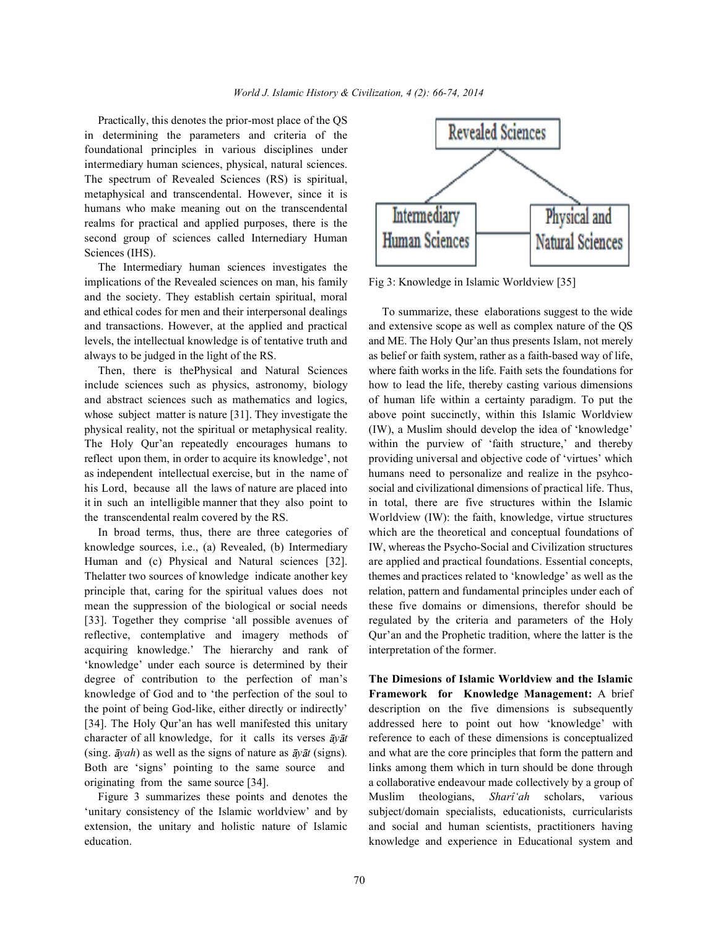Practically, this denotes the prior-most place of the QS in determining the parameters and criteria of the foundational principles in various disciplines under intermediary human sciences, physical, natural sciences. The spectrum of Revealed Sciences (RS) is spiritual, metaphysical and transcendental. However, since it is humans who make meaning out on the transcendental realms for practical and applied purposes, there is the second group of sciences called Internediary Human Sciences (IHS).

The Intermediary human sciences investigates the implications of the Revealed sciences on man, his family Fig 3: Knowledge in Islamic Worldview [35] and the society. They establish certain spiritual, moral and ethical codes for men and their interpersonal dealings To summarize, these elaborations suggest to the wide

physical reality, not the spiritual or metaphysical reality. (IW), a Muslim should develop the idea of 'knowledge' as independent intellectual exercise, but in the name of humans need to personalize and realize in the psyhco-

acquiring knowledge.' The hierarchy and rank of interpretation of the former. 'knowledge' under each source is determined by their degree of contribution to the perfection of man's **The Dimesions of Islamic Worldview and the Islamic**

education. knowledge and experience in Educational system and



and transactions. However, at the applied and practical and extensive scope as well as complex nature of the QS levels, the intellectual knowledge is of tentative truth and and ME. The Holy Qur'an thus presents Islam, not merely always to be judged in the light of the RS. as belief or faith system, rather as a faith-based way of life, Then, there is thePhysical and Natural Sciences where faith works in the life. Faith sets the foundations for include sciences such as physics, astronomy, biology how to lead the life, thereby casting various dimensions and abstract sciences such as mathematics and logics, of human life within a certainty paradigm. To put the whose subject matter is nature [31]. They investigate the above point succinctly, within this Islamic Worldview The Holy Qur'an repeatedly encourages humans to within the purview of 'faith structure,' and thereby reflect upon them, in order to acquire its knowledge', not providing universal and objective code of 'virtues' which his Lord, because all the laws of nature are placed into social and civilizational dimensions of practical life. Thus, it in such an intelligible manner that they also point to in total, there are five structures within the Islamic the transcendental realm covered by the RS. Worldview (IW): the faith, knowledge, virtue structures In broad terms, thus, there are three categories of which are the theoretical and conceptual foundations of knowledge sources, i.e., (a) Revealed, (b) Intermediary IW, whereas the Psycho-Social and Civilization structures Human and (c) Physical and Natural sciences [32]. are applied and practical foundations. Essential concepts, Thelatter two sources of knowledge indicate another key themes and practices related to 'knowledge' as well as the principle that, caring for the spiritual values does not relation, pattern and fundamental principles under each of mean the suppression of the biological or social needs these five domains or dimensions, therefor should be [33]. Together they comprise 'all possible avenues of regulated by the criteria and parameters of the Holy reflective, contemplative and imagery methods of Qur'an and the Prophetic tradition, where the latter is the

knowledge of God and to 'the perfection of the soul to **Framework for Knowledge Management:** A brief the point of being God-like, either directly or indirectly' description on the five dimensions is subsequently [34]. The Holy Qur'an has well manifested this unitary addressed here to point out how 'knowledge' with character of all knowledge, for it calls its verses  $\bar{a}y\bar{a}t$  reference to each of these dimensions is conceptualized (sing.  $\bar{a}$ yah) as well as the signs of nature as  $\bar{a}$ y $\bar{a}$ t (signs). and what are the core principles that form the pattern and Both are 'signs' pointing to the same source and links among them which in turn should be done through originating from the same source [34]. a collaborative endeavour made collectively by a group of Figure 3 summarizes these points and denotes the Muslim theologians, *Sharî'ah* scholars, various 'unitary consistency of the Islamic worldview' and by subject/domain specialists, educationists, curricularists extension, the unitary and holistic nature of Islamic and social and human scientists, practitioners having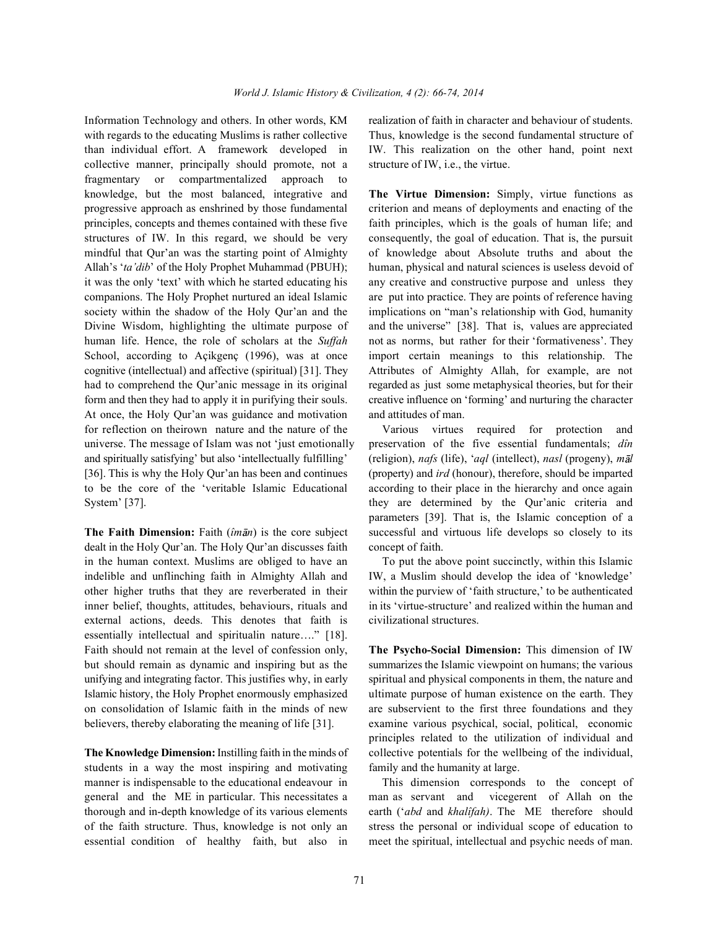with regards to the educating Muslims is rather collective Thus, knowledge is the second fundamental structure of than individual effort. A framework developed in IW. This realization on the other hand, point next collective manner, principally should promote, not a structure of IW, i.e., the virtue. fragmentary or compartmentalized approach to knowledge, but the most balanced, integrative and **The Virtue Dimension:** Simply, virtue functions as progressive approach as enshrined by those fundamental criterion and means of deployments and enacting of the principles, concepts and themes contained with these five faith principles, which is the goals of human life; and structures of IW. In this regard, we should be very consequently, the goal of education. That is, the pursuit mindful that Qur'an was the starting point of Almighty of knowledge about Absolute truths and about the Allah's '*ta'dib*' of the Holy Prophet Muhammad (PBUH); human, physical and natural sciences is useless devoid of it was the only 'text' with which he started educating his any creative and constructive purpose and unless they companions. The Holy Prophet nurtured an ideal Islamic are put into practice. They are points of reference having society within the shadow of the Holy Qur'an and the implications on "man's relationship with God, humanity Divine Wisdom, highlighting the ultimate purpose of and the universe" [38]. That is, values are appreciated human life. Hence, the role of scholars at the *Suffah* not as norms, but rather for their 'formativeness'. They School, according to Açikgenç (1996), was at once import certain meanings to this relationship. The cognitive (intellectual) and affective (spiritual) [31]. They Attributes of Almighty Allah, for example, are not had to comprehend the Qur'anic message in its original regarded as just some metaphysical theories, but for their form and then they had to apply it in purifying their souls. creative influence on 'forming' and nurturing the character At once, the Holy Qur'an was guidance and motivation and attitudes of man. for reflection on theirown nature and the nature of the Various virtues required for protection and universe. The message of Islam was not 'just emotionally preservation of the five essential fundamentals; *dîn* and spiritually satisfying' but also 'intellectually fulfilling' (religion), *nafs* (life), '*aql* (intellect), *nasl* (progeny), *m l* [36]. This is why the Holy Qur'an has been and continues (property) and *ird* (honour), therefore, should be imparted to be the core of the 'veritable Islamic Educational according to their place in the hierarchy and once again System' [37]. they are determined by the Qur'anic criteria and

**The Faith Dimension:** Faith (*îmān*) is the core subject successful and virtuous life develops so closely to its dealt in the Holy Qur'an. The Holy Qur'an discusses faith concept of faith. in the human context. Muslims are obliged to have an To put the above point succinctly, within this Islamic indelible and unflinching faith in Almighty Allah and IW, a Muslim should develop the idea of 'knowledge' other higher truths that they are reverberated in their within the purview of 'faith structure,' to be authenticated inner belief, thoughts, attitudes, behaviours, rituals and in its 'virtue-structure' and realized within the human and external actions, deeds. This denotes that faith is civilizational structures. essentially intellectual and spiritualin nature…." [18]. Faith should not remain at the level of confession only, **The Psycho-Social Dimension:** This dimension of IW but should remain as dynamic and inspiring but as the summarizes the Islamic viewpoint on humans; the various unifying and integrating factor. This justifies why, in early spiritual and physical components in them, the nature and Islamic history, the Holy Prophet enormously emphasized ultimate purpose of human existence on the earth. They on consolidation of Islamic faith in the minds of new are subservient to the first three foundations and they believers, thereby elaborating the meaning of life [31]. examine various psychical, social, political, economic

**The Knowledge Dimension:** Instilling faith in the minds of collective potentials for the wellbeing of the individual, students in a way the most inspiring and motivating family and the humanity at large. manner is indispensable to the educational endeavour in This dimension corresponds to the concept of general and the ME in particular. This necessitates a man as servant and vicegerent of Allah on the thorough and in-depth knowledge of its various elements earth ('*abd* and *khalîfah)*. The ME therefore should of the faith structure. Thus, knowledge is not only an stress the personal or individual scope of education to essential condition of healthy faith, but also in meet the spiritual, intellectual and psychic needs of man.

Information Technology and others. In other words, KM realization of faith in character and behaviour of students.

parameters [39]. That is, the Islamic conception of a

principles related to the utilization of individual and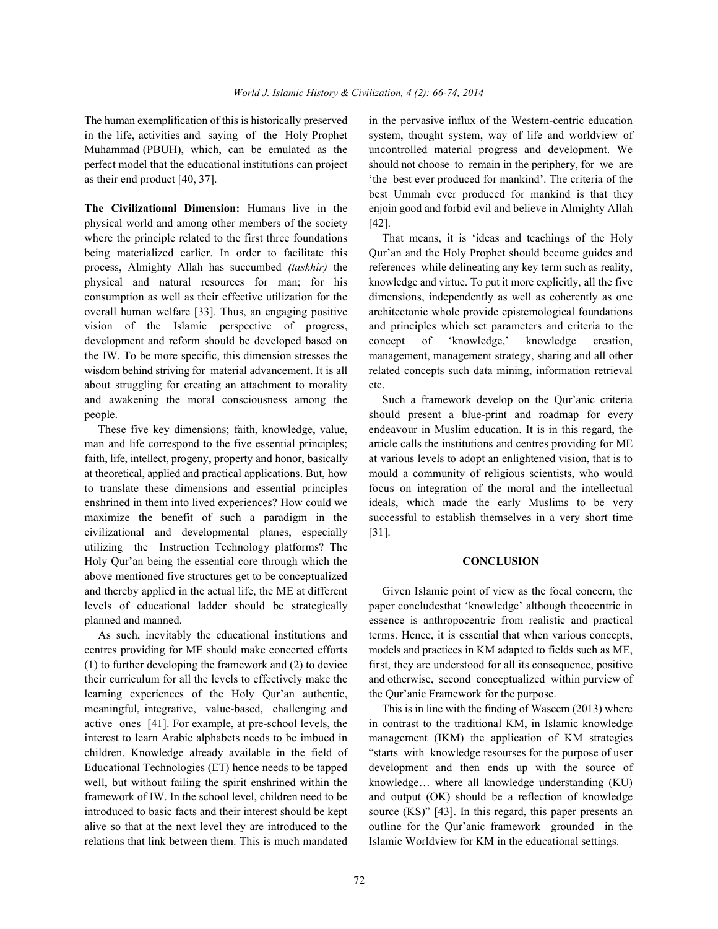perfect model that the educational institutions can project should not choose to remain in the periphery, for we are

physical world and among other members of the society [42]. where the principle related to the first three foundations That means, it is 'ideas and teachings of the Holy being materialized earlier. In order to facilitate this Qur'an and the Holy Prophet should become guides and process, Almighty Allah has succumbed *(taskhîr)* the references while delineating any key term such as reality, physical and natural resources for man; for his knowledge and virtue. To put it more explicitly, all the five consumption as well as their effective utilization for the dimensions, independently as well as coherently as one overall human welfare [33]. Thus, an engaging positive architectonic whole provide epistemological foundations vision of the Islamic perspective of progress, and principles which set parameters and criteria to the development and reform should be developed based on concept of 'knowledge,' knowledge creation, the IW. To be more specific, this dimension stresses the management, management strategy, sharing and all other wisdom behind striving for material advancement. It is all related concepts such data mining, information retrieval about struggling for creating an attachment to morality etc. and awakening the moral consciousness among the Such a framework develop on the Qur'anic criteria people. should present a blue-print and roadmap for every

man and life correspond to the five essential principles; article calls the institutions and centres providing for ME faith, life, intellect, progeny, property and honor, basically at various levels to adopt an enlightened vision, that is to at theoretical, applied and practical applications. But, how mould a community of religious scientists, who would to translate these dimensions and essential principles focus on integration of the moral and the intellectual enshrined in them into lived experiences? How could we ideals, which made the early Muslims to be very maximize the benefit of such a paradigm in the successful to establish themselves in a very short time civilizational and developmental planes, especially [31]. utilizing the Instruction Technology platforms? The Holy Qur'an being the essential core through which the **CONCLUSION** above mentioned five structures get to be conceptualized and thereby applied in the actual life, the ME at different Given Islamic point of view as the focal concern, the

learning experiences of the Holy Qur'an authentic, the Qur'anic Framework for the purpose. meaningful, integrative, value-based, challenging and This is in line with the finding of Waseem (2013) where alive so that at the next level they are introduced to the outline for the Qur'anic framework grounded in the relations that link between them. This is much mandated Islamic Worldview for KM in the educational settings.

The human exemplification of this is historically preserved in the pervasive influx of the Western-centric education in the life, activities and saying of the Holy Prophet system, thought system, way of life and worldview of Muhammad (PBUH), which, can be emulated as the uncontrolled material progress and development. We as their end product [40, 37]. 'the best ever produced for mankind'. The criteria of the **The Civilizational Dimension:** Humans live in the enjoin good and forbid evil and believe in Almighty Allah best Ummah ever produced for mankind is that they

These five key dimensions; faith, knowledge, value, endeavour in Muslim education. It is in this regard, the

levels of educational ladder should be strategically paper concludesthat 'knowledge' although theocentric in planned and manned. essence is anthropocentric from realistic and practical As such, inevitably the educational institutions and terms. Hence, it is essential that when various concepts, centres providing for ME should make concerted efforts models and practices in KM adapted to fields such as ME, (1) to further developing the framework and (2) to device first, they are understood for all its consequence, positive their curriculum for all the levels to effectively make the and otherwise, second conceptualized within purview of

active ones [41]. For example, at pre-school levels, the in contrast to the traditional KM, in Islamic knowledge interest to learn Arabic alphabets needs to be imbued in management (IKM) the application of KM strategies children. Knowledge already available in the field of "starts with knowledge resourses for the purpose of user Educational Technologies (ET) hence needs to be tapped development and then ends up with the source of well, but without failing the spirit enshrined within the knowledge... where all knowledge understanding (KU) framework of IW. In the school level, children need to be and output (OK) should be a reflection of knowledge introduced to basic facts and their interest should be kept source (KS)" [43]. In this regard, this paper presents an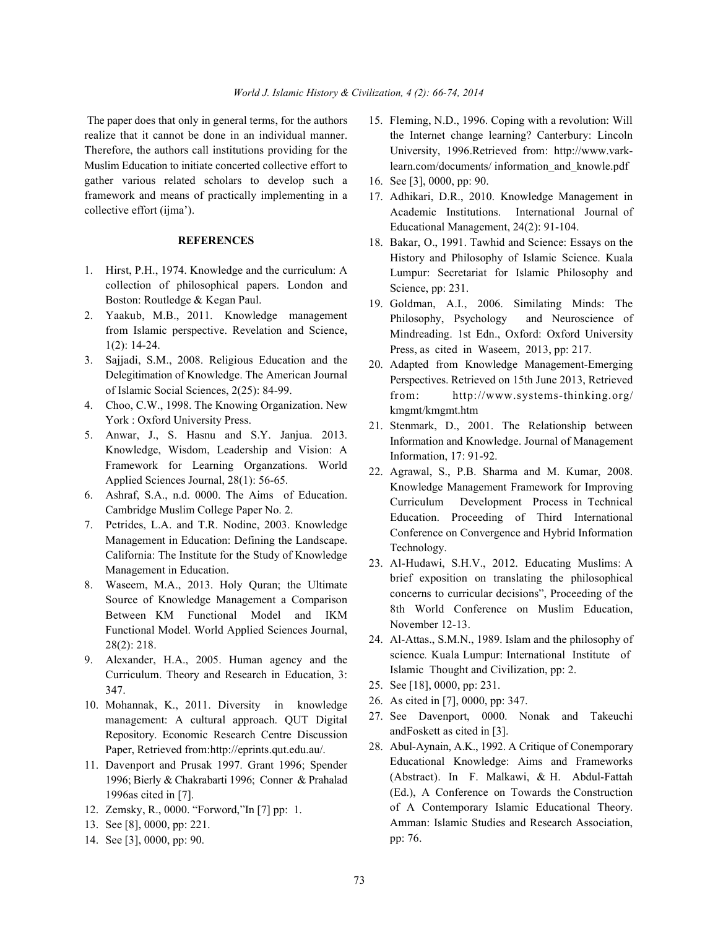realize that it cannot be done in an individual manner. Therefore, the authors call institutions providing for the Muslim Education to initiate concerted collective effort to gather various related scholars to develop such a framework and means of practically implementing in a collective effort (ijma').

## **REFERENCES**

- 1. Hirst, P.H., 1974. Knowledge and the curriculum: A collection of philosophical papers. London and Boston: Routledge & Kegan Paul.
- 2. Yaakub, M.B., 2011. Knowledge management from Islamic perspective. Revelation and Science, 1(2): 14-24.
- 3. Sajjadi, S.M., 2008. Religious Education and the Delegitimation of Knowledge. The American Journal of Islamic Social Sciences, 2(25): 84-99.
- 4. Choo, C.W., 1998. The Knowing Organization. New York : Oxford University Press.
- 5. Anwar, J., S. Hasnu and S.Y. Janjua. 2013. Knowledge, Wisdom, Leadership and Vision: A Framework for Learning Organzations. World Applied Sciences Journal, 28(1): 56-65.
- 6. Ashraf, S.A., n.d. 0000. The Aims of Education. Cambridge Muslim College Paper No. 2.
- 7. Petrides, L.A. and T.R. Nodine, 2003. Knowledge Management in Education: Defining the Landscape. California: The Institute for the Study of Knowledge Management in Education.
- 8. Waseem, M.A., 2013. Holy Quran; the Ultimate Source of Knowledge Management a Comparison Between KM Functional Model and IKM Functional Model. World Applied Sciences Journal, 28(2): 218.
- 9. Alexander, H.A., 2005. Human agency and the Curriculum. Theory and Research in Education, 3: 347.
- 10. Mohannak, K., 2011. Diversity in knowledge management: A cultural approach. QUT Digital Repository. Economic Research Centre Discussion Paper, Retrieved from:http://eprints.qut.edu.au/.
- 11. Davenport and Prusak 1997. Grant 1996; Spender 1996; Bierly & Chakrabarti 1996; Conner & Prahalad 1996as cited in [7].
- 12. Zemsky, R., 0000. "Forword,"In [7] pp: 1.
- 13. See [8], 0000, pp: 221.
- 14. See [3], 0000, pp: 90.
- The paper does that only in general terms, for the authors 15. Fleming, N.D., 1996. Coping with a revolution: Will the Internet change learning? Canterbury: Lincoln University, 1996.Retrieved from: http://www.varklearn.com/documents/ information\_and\_knowle.pdf
	- 16. See [3], 0000, pp: 90.
	- 17. Adhikari, D.R., 2010. Knowledge Management in Academic Institutions. International Journal of Educational Management, 24(2): 91-104.
	- 18. Bakar, O., 1991. Tawhid and Science: Essays on the History and Philosophy of Islamic Science. Kuala Lumpur: Secretariat for Islamic Philosophy and Science, pp: 231.
	- 19. Goldman, A.I., 2006. Similating Minds: The Philosophy, Psychology and Neuroscience of Mindreading. 1st Edn., Oxford: Oxford University Press, as cited in Waseem, 2013, pp: 217.
	- 20. Adapted from Knowledge Management-Emerging Perspectives. Retrieved on 15th June 2013, Retrieved from: http://www.systems-thinking.org/ kmgmt/kmgmt.htm
	- 21. Stenmark, D., 2001. The Relationship between Information and Knowledge. Journal of Management Information, 17: 91-92.
	- 22. Agrawal, S., P.B. Sharma and M. Kumar, 2008. Knowledge Management Framework for Improving Curriculum Development Process in Technical Education. Proceeding of Third International Conference on Convergence and Hybrid Information Technology.
	- 23. Al-Hudawi, S.H.V., 2012. Educating Muslims: A brief exposition on translating the philosophical concerns to curricular decisions", Proceeding of the 8th World Conference on Muslim Education, November 12-13.
	- 24. Al-Attas., S.M.N., 1989. Islam and the philosophy of science*.* Kuala Lumpur: International Institute of Islamic Thought and Civilization, pp: 2.
	- 25. See [18], 0000, pp: 231.
	- 26. As cited in [7], 0000, pp: 347.
	- 27. See Davenport, 0000. Nonak and Takeuchi andFoskett as cited in [3].
	- 28. Abul-Aynain, A.K., 1992. A Critique of Conemporary Educational Knowledge: Aims and Frameworks (Abstract). In F. Malkawi, & H. Abdul-Fattah (Ed.), A Conference on Towards the Construction of A Contemporary Islamic Educational Theory. Amman: Islamic Studies and Research Association, pp: 76.